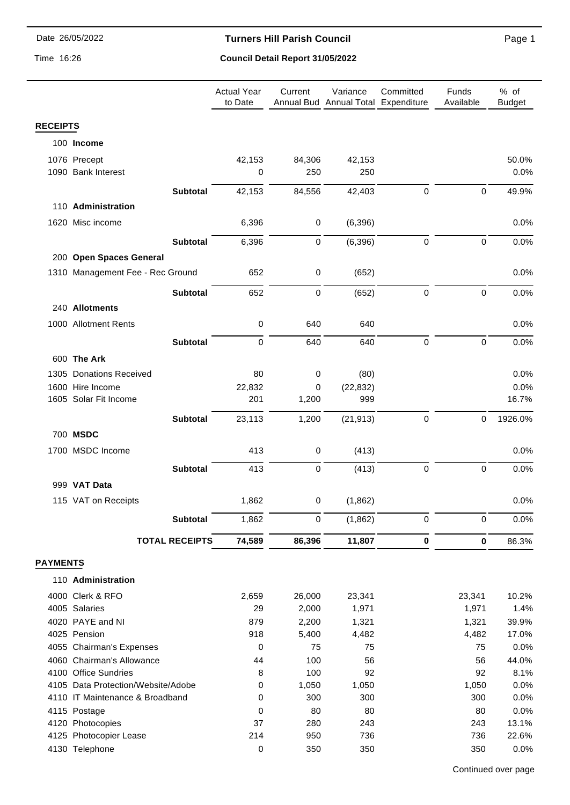#### **Turners Hill Parish Council**

Time 16:26

## **Council Detail Report 31/05/2022**

|                 |                                    |                       | <b>Actual Year</b><br>to Date | Current     | Variance<br>Annual Bud Annual Total Expenditure | Committed        | Funds<br>Available | % of<br><b>Budget</b> |
|-----------------|------------------------------------|-----------------------|-------------------------------|-------------|-------------------------------------------------|------------------|--------------------|-----------------------|
| <b>RECEIPTS</b> |                                    |                       |                               |             |                                                 |                  |                    |                       |
|                 | 100 Income                         |                       |                               |             |                                                 |                  |                    |                       |
|                 | 1076 Precept                       |                       | 42,153                        | 84,306      | 42,153                                          |                  |                    | 50.0%                 |
|                 | 1090 Bank Interest                 |                       | 0                             | 250         | 250                                             |                  |                    | 0.0%                  |
|                 |                                    |                       |                               |             |                                                 |                  | $\pmb{0}$          |                       |
|                 |                                    | <b>Subtotal</b>       | 42,153                        | 84,556      | 42,403                                          | $\pmb{0}$        |                    | 49.9%                 |
|                 | 110 Administration                 |                       |                               |             |                                                 |                  |                    |                       |
|                 | 1620 Misc income                   |                       | 6,396                         | $\mathbf 0$ | (6, 396)                                        |                  |                    | 0.0%                  |
|                 |                                    | <b>Subtotal</b>       | 6,396                         | 0           | (6, 396)                                        | $\mathbf 0$      | 0                  | 0.0%                  |
|                 | 200 Open Spaces General            |                       |                               |             |                                                 |                  |                    |                       |
|                 | 1310 Management Fee - Rec Ground   |                       | 652                           | $\pmb{0}$   | (652)                                           |                  |                    | 0.0%                  |
|                 |                                    |                       |                               |             |                                                 |                  |                    |                       |
|                 |                                    | <b>Subtotal</b>       | 652                           | 0           | (652)                                           | $\boldsymbol{0}$ | $\pmb{0}$          | 0.0%                  |
|                 | 240 Allotments                     |                       |                               |             |                                                 |                  |                    |                       |
|                 | 1000 Allotment Rents               |                       | $\mathbf 0$                   | 640         | 640                                             |                  |                    | 0.0%                  |
|                 |                                    | <b>Subtotal</b>       | 0                             | 640         | 640                                             | $\mathbf 0$      | $\mathbf 0$        | 0.0%                  |
|                 | 600 The Ark                        |                       |                               |             |                                                 |                  |                    |                       |
|                 | 1305 Donations Received            |                       | 80                            | 0           | (80)                                            |                  |                    | 0.0%                  |
|                 | 1600 Hire Income                   |                       | 22,832                        | 0           | (22, 832)                                       |                  |                    | 0.0%                  |
|                 | 1605 Solar Fit Income              |                       | 201                           | 1,200       | 999                                             |                  |                    | 16.7%                 |
|                 |                                    |                       |                               |             |                                                 |                  |                    |                       |
|                 |                                    | <b>Subtotal</b>       | 23,113                        | 1,200       | (21, 913)                                       | $\boldsymbol{0}$ | $\mathbf 0$        | 1926.0%               |
|                 | 700 MSDC                           |                       |                               |             |                                                 |                  |                    |                       |
|                 | 1700 MSDC Income                   |                       | 413                           | $\pmb{0}$   | (413)                                           |                  |                    | 0.0%                  |
|                 |                                    | <b>Subtotal</b>       | 413                           | 0           | (413)                                           | $\mathbf 0$      | $\mathbf 0$        | 0.0%                  |
|                 | 999 VAT Data                       |                       |                               |             |                                                 |                  |                    |                       |
|                 | 115 VAT on Receipts                |                       | 1,862                         | 0           | (1,862)                                         |                  |                    | 0.0%                  |
|                 |                                    |                       |                               |             |                                                 |                  |                    |                       |
|                 |                                    | <b>Subtotal</b>       | 1,862                         | $\mathbf 0$ | (1,862)                                         | 0                | $\pmb{0}$          | 0.0%                  |
|                 |                                    | <b>TOTAL RECEIPTS</b> | 74,589                        | 86,396      | 11,807                                          | $\pmb{0}$        | $\pmb{0}$          | 86.3%                 |
| <b>PAYMENTS</b> |                                    |                       |                               |             |                                                 |                  |                    |                       |
|                 | 110 Administration                 |                       |                               |             |                                                 |                  |                    |                       |
|                 | 4000 Clerk & RFO                   |                       | 2,659                         | 26,000      | 23,341                                          |                  | 23,341             | 10.2%                 |
|                 | 4005 Salaries                      |                       | 29                            | 2,000       | 1,971                                           |                  | 1,971              | 1.4%                  |
|                 | 4020 PAYE and NI                   |                       | 879                           | 2,200       | 1,321                                           |                  | 1,321              | 39.9%                 |
|                 | 4025 Pension                       |                       | 918                           | 5,400       | 4,482                                           |                  | 4,482              | 17.0%                 |
|                 | 4055 Chairman's Expenses           |                       | 0                             | 75          | 75                                              |                  | 75                 | 0.0%                  |
|                 | 4060 Chairman's Allowance          |                       | 44                            | 100         | 56                                              |                  | 56                 | 44.0%                 |
|                 | 4100 Office Sundries               |                       | 8                             | 100         | 92                                              |                  | 92                 | 8.1%                  |
|                 | 4105 Data Protection/Website/Adobe |                       | 0                             | 1,050       | 1,050                                           |                  | 1,050              | 0.0%                  |
|                 | 4110 IT Maintenance & Broadband    |                       | 0                             | 300         | 300                                             |                  | 300                | 0.0%                  |
|                 | 4115 Postage<br>4120 Photocopies   |                       | 0<br>37                       | 80<br>280   | 80<br>243                                       |                  | 80<br>243          | 0.0%<br>13.1%         |
|                 | 4125 Photocopier Lease             |                       | 214                           | 950         | 736                                             |                  | 736                | 22.6%                 |
|                 | 4130 Telephone                     |                       | 0                             | 350         | 350                                             |                  | 350                | 0.0%                  |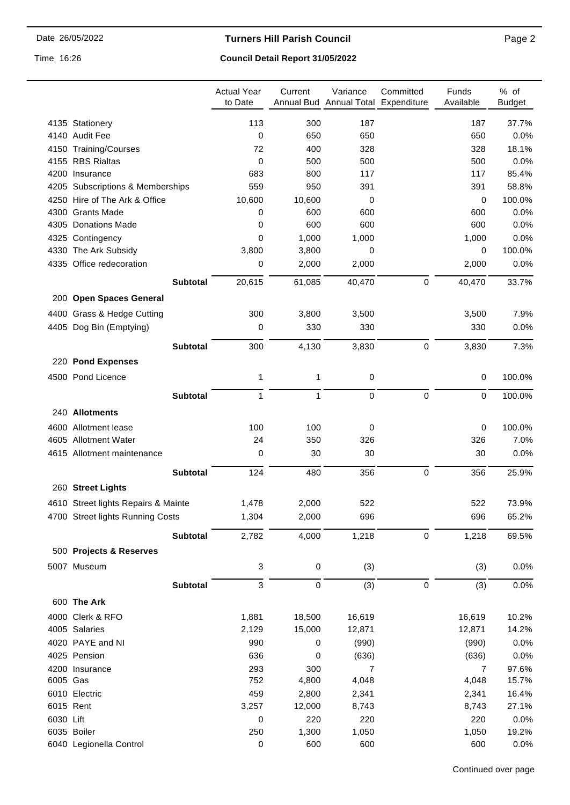#### **Turners Hill Parish Council**

Time 16:26

## **Council Detail Report 31/05/2022**

|           |                                     | <b>Actual Year</b><br>to Date | Current         | Variance<br>Annual Bud Annual Total Expenditure | Committed   | Funds<br>Available      | % of<br><b>Budget</b> |
|-----------|-------------------------------------|-------------------------------|-----------------|-------------------------------------------------|-------------|-------------------------|-----------------------|
|           | 4135 Stationery                     | 113                           | 300             | 187                                             |             | 187                     | 37.7%                 |
|           | 4140 Audit Fee                      | 0                             | 650             | 650                                             |             | 650                     | 0.0%                  |
|           | 4150 Training/Courses               | 72                            | 400             | 328                                             |             | 328                     | 18.1%                 |
|           | 4155 RBS Rialtas                    | 0                             | 500             | 500                                             |             | 500                     | 0.0%                  |
|           | 4200 Insurance                      | 683                           | 800             | 117                                             |             | 117                     | 85.4%                 |
|           | 4205 Subscriptions & Memberships    | 559                           | 950             | 391                                             |             | 391                     | 58.8%                 |
|           | 4250 Hire of The Ark & Office       | 10,600                        | 10,600          | 0                                               |             | 0                       | 100.0%                |
|           | 4300 Grants Made                    | 0                             | 600             | 600                                             |             | 600                     | 0.0%                  |
|           | 4305 Donations Made                 | 0                             | 600             | 600                                             |             | 600                     | 0.0%                  |
|           | 4325 Contingency                    | 0                             | 1,000           | 1,000                                           |             | 1,000                   | 0.0%                  |
|           | 4330 The Ark Subsidy                | 3,800                         | 3,800           | 0                                               |             | 0                       | 100.0%                |
|           | 4335 Office redecoration            | 0                             | 2,000           | 2,000                                           |             | 2,000                   | 0.0%                  |
|           | <b>Subtotal</b>                     | 20,615                        | 61,085          | 40,470                                          | $\mathbf 0$ | 40,470                  | 33.7%                 |
|           | 200 Open Spaces General             |                               |                 |                                                 |             |                         |                       |
|           | 4400 Grass & Hedge Cutting          | 300                           | 3,800           | 3,500                                           |             | 3,500                   | 7.9%                  |
|           | 4405 Dog Bin (Emptying)             | 0                             | 330             | 330                                             |             | 330                     | 0.0%                  |
|           | <b>Subtotal</b>                     | 300                           | 4,130           | 3,830                                           | $\pmb{0}$   | 3,830                   | 7.3%                  |
|           | 220 Pond Expenses                   |                               |                 |                                                 |             |                         |                       |
|           | 4500 Pond Licence                   | 1                             | 1               | 0                                               |             | $\mathbf 0$             | 100.0%                |
|           | <b>Subtotal</b>                     | $\mathbf{1}$                  | 1               | 0                                               | 0           | $\mathbf 0$             | 100.0%                |
|           |                                     |                               |                 |                                                 |             |                         |                       |
|           | 240 Allotments                      |                               |                 |                                                 |             |                         |                       |
|           | 4600 Allotment lease                | 100                           | 100             | 0                                               |             | 0                       | 100.0%                |
|           | 4605 Allotment Water                | 24                            | 350             | 326                                             |             | 326                     | 7.0%                  |
|           | 4615 Allotment maintenance          | 0                             | 30              | 30                                              |             | 30                      | 0.0%                  |
|           | <b>Subtotal</b>                     | 124                           | 480             | 356                                             | $\mathbf 0$ | 356                     | 25.9%                 |
|           | 260 Street Lights                   |                               |                 |                                                 |             |                         |                       |
|           | 4610 Street lights Repairs & Mainte | 1,478                         | 2,000           | 522                                             |             | 522                     | 73.9%                 |
|           | 4700 Street lights Running Costs    | 1,304                         | 2,000           | 696                                             |             | 696                     | 65.2%                 |
|           | Subtotal                            | 2,782                         | 4,000           | 1,218                                           | $\pmb{0}$   | 1,218                   | 69.5%                 |
|           | 500 Projects & Reserves             |                               |                 |                                                 |             |                         |                       |
|           | 5007 Museum                         | 3                             | $\,0\,$         | (3)                                             |             | (3)                     | 0.0%                  |
|           | <b>Subtotal</b>                     | 3                             | $\mbox{O}$      | (3)                                             | $\pmb{0}$   | (3)                     | 0.0%                  |
|           | 600 The Ark                         |                               |                 |                                                 |             |                         |                       |
|           | 4000 Clerk & RFO                    | 1,881                         | 18,500          | 16,619                                          |             | 16,619                  | 10.2%                 |
|           | 4005 Salaries                       | 2,129                         | 15,000          | 12,871                                          |             | 12,871                  | 14.2%                 |
|           |                                     |                               |                 |                                                 |             |                         |                       |
|           | 4020 PAYE and NI<br>4025 Pension    | 990<br>636                    | 0<br>0          | (990)<br>(636)                                  |             | (990)<br>(636)          | 0.0%<br>0.0%          |
|           |                                     |                               |                 | $\overline{7}$                                  |             |                         |                       |
| 6005 Gas  | 4200 Insurance                      | 293<br>752                    | 300<br>4,800    | 4,048                                           |             | $\overline{7}$<br>4,048 | 97.6%<br>15.7%        |
|           |                                     | 459                           |                 |                                                 |             |                         |                       |
|           | 6010 Electric<br>6015 Rent          | 3,257                         | 2,800<br>12,000 | 2,341<br>8,743                                  |             | 2,341<br>8,743          | 16.4%<br>27.1%        |
| 6030 Lift |                                     |                               |                 |                                                 |             | 220                     | 0.0%                  |
|           | 6035 Boiler                         | 0<br>250                      | 220<br>1,300    | 220<br>1,050                                    |             | 1,050                   | 19.2%                 |
|           | 6040 Legionella Control             | 0                             | 600             | 600                                             |             | 600                     | 0.0%                  |
|           |                                     |                               |                 |                                                 |             |                         |                       |